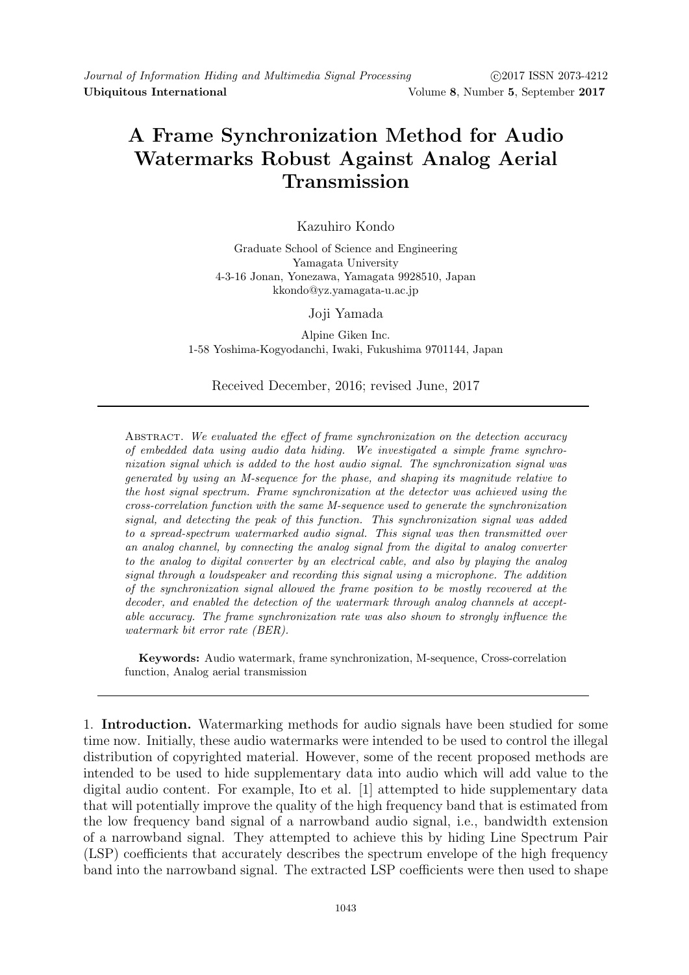# A Frame Synchronization Method for Audio Watermarks Robust Against Analog Aerial Transmission

## Kazuhiro Kondo

Graduate School of Science and Engineering Yamagata University 4-3-16 Jonan, Yonezawa, Yamagata 9928510, Japan kkondo@yz.yamagata-u.ac.jp

#### Joji Yamada

Alpine Giken Inc. 1-58 Yoshima-Kogyodanchi, Iwaki, Fukushima 9701144, Japan

### Received December, 2016; revised June, 2017

ABSTRACT. We evaluated the effect of frame synchronization on the detection accuracy of embedded data using audio data hiding. We investigated a simple frame synchronization signal which is added to the host audio signal. The synchronization signal was generated by using an M-sequence for the phase, and shaping its magnitude relative to the host signal spectrum. Frame synchronization at the detector was achieved using the cross-correlation function with the same M-sequence used to generate the synchronization signal, and detecting the peak of this function. This synchronization signal was added to a spread-spectrum watermarked audio signal. This signal was then transmitted over an analog channel, by connecting the analog signal from the digital to analog converter to the analog to digital converter by an electrical cable, and also by playing the analog signal through a loudspeaker and recording this signal using a microphone. The addition of the synchronization signal allowed the frame position to be mostly recovered at the decoder, and enabled the detection of the watermark through analog channels at acceptable accuracy. The frame synchronization rate was also shown to strongly influence the watermark bit error rate (BER).

Keywords: Audio watermark, frame synchronization, M-sequence, Cross-correlation function, Analog aerial transmission

1. Introduction. Watermarking methods for audio signals have been studied for some time now. Initially, these audio watermarks were intended to be used to control the illegal distribution of copyrighted material. However, some of the recent proposed methods are intended to be used to hide supplementary data into audio which will add value to the digital audio content. For example, Ito et al. [1] attempted to hide supplementary data that will potentially improve the quality of the high frequency band that is estimated from the low frequency band signal of a narrowband audio signal, i.e., bandwidth extension of a narrowband signal. They attempted to achieve this by hiding Line Spectrum Pair (LSP) coefficients that accurately describes the spectrum envelope of the high frequency band into the narrowband signal. The extracted LSP coefficients were then used to shape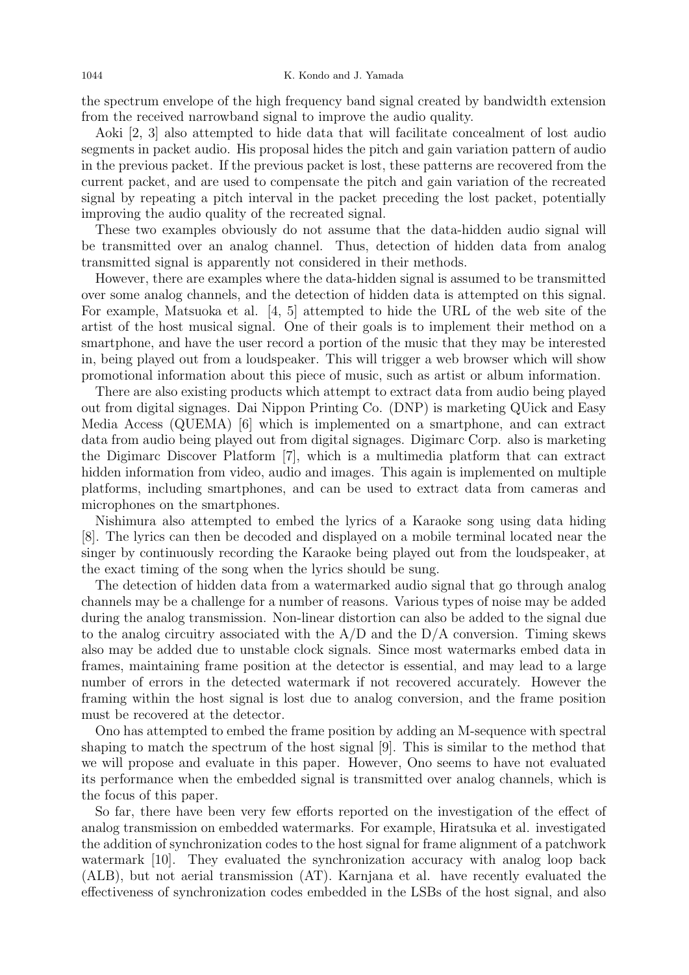the spectrum envelope of the high frequency band signal created by bandwidth extension from the received narrowband signal to improve the audio quality.

Aoki [2, 3] also attempted to hide data that will facilitate concealment of lost audio segments in packet audio. His proposal hides the pitch and gain variation pattern of audio in the previous packet. If the previous packet is lost, these patterns are recovered from the current packet, and are used to compensate the pitch and gain variation of the recreated signal by repeating a pitch interval in the packet preceding the lost packet, potentially improving the audio quality of the recreated signal.

These two examples obviously do not assume that the data-hidden audio signal will be transmitted over an analog channel. Thus, detection of hidden data from analog transmitted signal is apparently not considered in their methods.

However, there are examples where the data-hidden signal is assumed to be transmitted over some analog channels, and the detection of hidden data is attempted on this signal. For example, Matsuoka et al. [4, 5] attempted to hide the URL of the web site of the artist of the host musical signal. One of their goals is to implement their method on a smartphone, and have the user record a portion of the music that they may be interested in, being played out from a loudspeaker. This will trigger a web browser which will show promotional information about this piece of music, such as artist or album information.

There are also existing products which attempt to extract data from audio being played out from digital signages. Dai Nippon Printing Co. (DNP) is marketing QUick and Easy Media Access (QUEMA) [6] which is implemented on a smartphone, and can extract data from audio being played out from digital signages. Digimarc Corp. also is marketing the Digimarc Discover Platform [7], which is a multimedia platform that can extract hidden information from video, audio and images. This again is implemented on multiple platforms, including smartphones, and can be used to extract data from cameras and microphones on the smartphones.

Nishimura also attempted to embed the lyrics of a Karaoke song using data hiding [8]. The lyrics can then be decoded and displayed on a mobile terminal located near the singer by continuously recording the Karaoke being played out from the loudspeaker, at the exact timing of the song when the lyrics should be sung.

The detection of hidden data from a watermarked audio signal that go through analog channels may be a challenge for a number of reasons. Various types of noise may be added during the analog transmission. Non-linear distortion can also be added to the signal due to the analog circuitry associated with the  $A/D$  and the  $D/A$  conversion. Timing skews also may be added due to unstable clock signals. Since most watermarks embed data in frames, maintaining frame position at the detector is essential, and may lead to a large number of errors in the detected watermark if not recovered accurately. However the framing within the host signal is lost due to analog conversion, and the frame position must be recovered at the detector.

Ono has attempted to embed the frame position by adding an M-sequence with spectral shaping to match the spectrum of the host signal [9]. This is similar to the method that we will propose and evaluate in this paper. However, Ono seems to have not evaluated its performance when the embedded signal is transmitted over analog channels, which is the focus of this paper.

So far, there have been very few efforts reported on the investigation of the effect of analog transmission on embedded watermarks. For example, Hiratsuka et al. investigated the addition of synchronization codes to the host signal for frame alignment of a patchwork watermark [10]. They evaluated the synchronization accuracy with analog loop back (ALB), but not aerial transmission (AT). Karnjana et al. have recently evaluated the effectiveness of synchronization codes embedded in the LSBs of the host signal, and also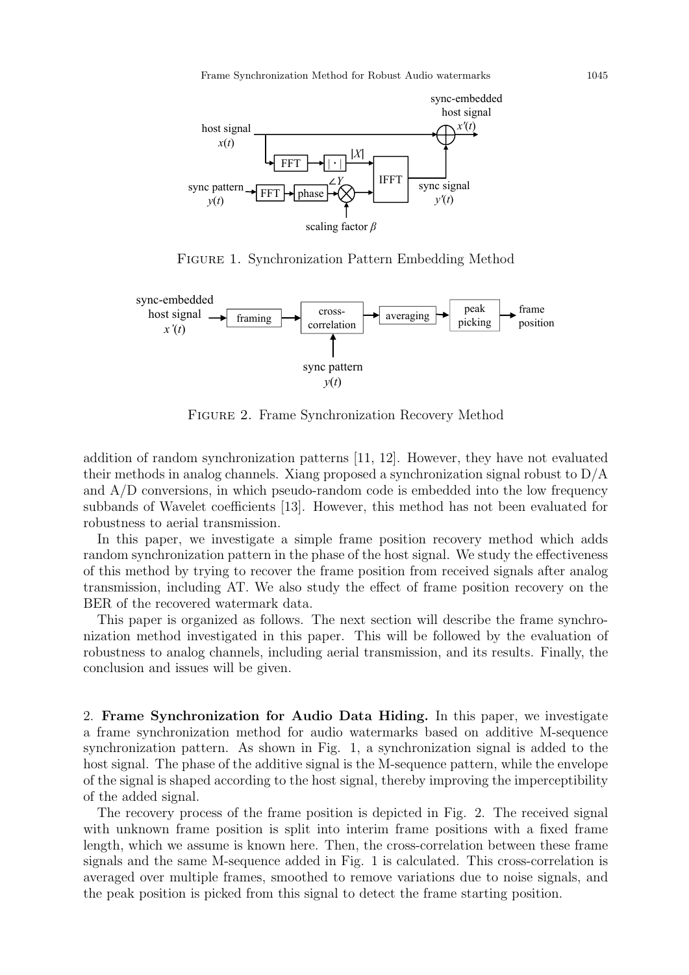

Figure 1. Synchronization Pattern Embedding Method



Figure 2. Frame Synchronization Recovery Method

addition of random synchronization patterns [11, 12]. However, they have not evaluated their methods in analog channels. Xiang proposed a synchronization signal robust to D/A and A/D conversions, in which pseudo-random code is embedded into the low frequency subbands of Wavelet coefficients [13]. However, this method has not been evaluated for robustness to aerial transmission.

In this paper, we investigate a simple frame position recovery method which adds random synchronization pattern in the phase of the host signal. We study the effectiveness of this method by trying to recover the frame position from received signals after analog transmission, including AT. We also study the effect of frame position recovery on the BER of the recovered watermark data.

This paper is organized as follows. The next section will describe the frame synchronization method investigated in this paper. This will be followed by the evaluation of robustness to analog channels, including aerial transmission, and its results. Finally, the conclusion and issues will be given.

2. Frame Synchronization for Audio Data Hiding. In this paper, we investigate a frame synchronization method for audio watermarks based on additive M-sequence synchronization pattern. As shown in Fig. 1, a synchronization signal is added to the host signal. The phase of the additive signal is the M-sequence pattern, while the envelope of the signal is shaped according to the host signal, thereby improving the imperceptibility of the added signal.

The recovery process of the frame position is depicted in Fig. 2. The received signal with unknown frame position is split into interim frame positions with a fixed frame length, which we assume is known here. Then, the cross-correlation between these frame signals and the same M-sequence added in Fig. 1 is calculated. This cross-correlation is averaged over multiple frames, smoothed to remove variations due to noise signals, and the peak position is picked from this signal to detect the frame starting position.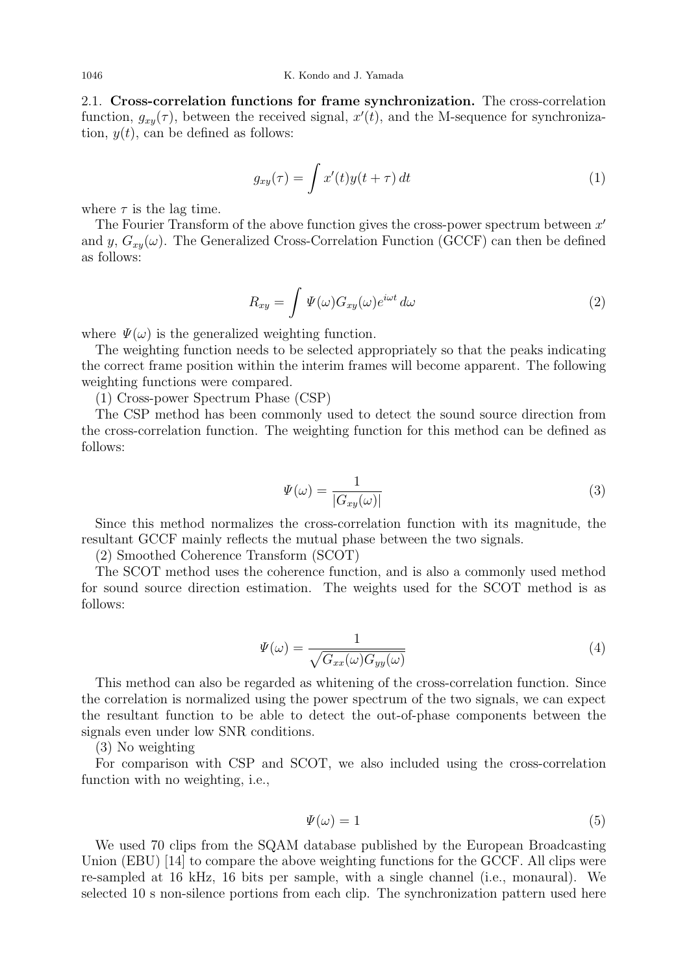2.1. Cross-correlation functions for frame synchronization. The cross-correlation function,  $g_{xy}(\tau)$ , between the received signal,  $x'(t)$ , and the M-sequence for synchronization,  $y(t)$ , can be defined as follows:

$$
g_{xy}(\tau) = \int x'(t)y(t+\tau) dt
$$
 (1)

where  $\tau$  is the lag time.

The Fourier Transform of the above function gives the cross-power spectrum between  $x'$ and y,  $G_{xy}(\omega)$ . The Generalized Cross-Correlation Function (GCCF) can then be defined as follows:

$$
R_{xy} = \int \Psi(\omega) G_{xy}(\omega) e^{i\omega t} d\omega \tag{2}
$$

where  $\Psi(\omega)$  is the generalized weighting function.

The weighting function needs to be selected appropriately so that the peaks indicating the correct frame position within the interim frames will become apparent. The following weighting functions were compared.

(1) Cross-power Spectrum Phase (CSP)

The CSP method has been commonly used to detect the sound source direction from the cross-correlation function. The weighting function for this method can be defined as follows:

$$
\Psi(\omega) = \frac{1}{|G_{xy}(\omega)|}\tag{3}
$$

Since this method normalizes the cross-correlation function with its magnitude, the resultant GCCF mainly reflects the mutual phase between the two signals.

(2) Smoothed Coherence Transform (SCOT)

The SCOT method uses the coherence function, and is also a commonly used method for sound source direction estimation. The weights used for the SCOT method is as follows:

$$
\Psi(\omega) = \frac{1}{\sqrt{G_{xx}(\omega)G_{yy}(\omega)}}\tag{4}
$$

This method can also be regarded as whitening of the cross-correlation function. Since the correlation is normalized using the power spectrum of the two signals, we can expect the resultant function to be able to detect the out-of-phase components between the signals even under low SNR conditions.

(3) No weighting

For comparison with CSP and SCOT, we also included using the cross-correlation function with no weighting, i.e.,

$$
\Psi(\omega) = 1\tag{5}
$$

We used 70 clips from the SQAM database published by the European Broadcasting Union (EBU) [14] to compare the above weighting functions for the GCCF. All clips were re-sampled at 16 kHz, 16 bits per sample, with a single channel (i.e., monaural). We selected 10 s non-silence portions from each clip. The synchronization pattern used here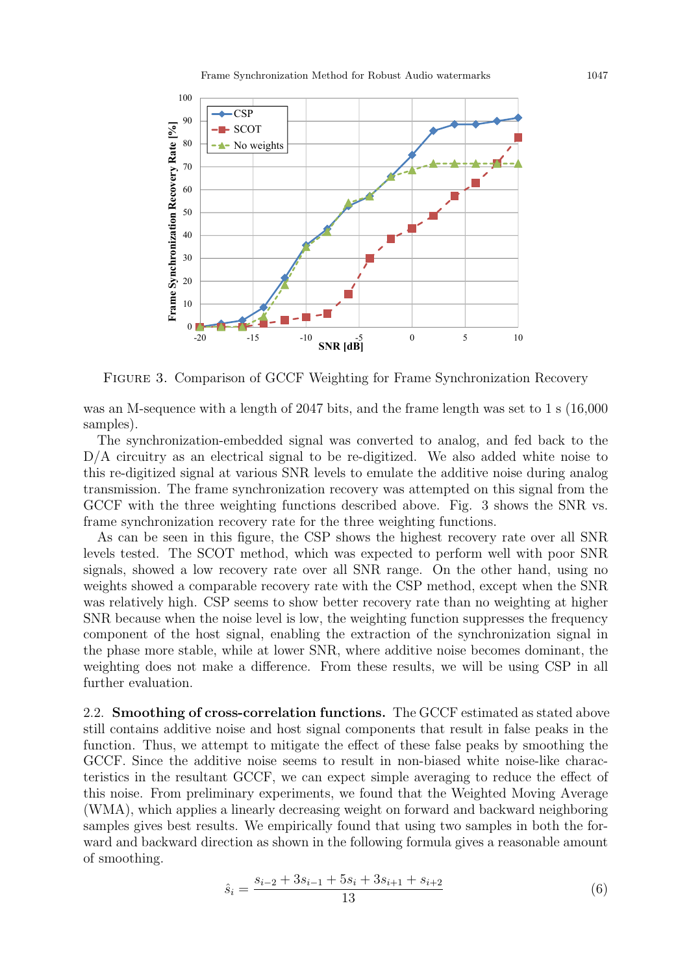

Figure 3. Comparison of GCCF Weighting for Frame Synchronization Recovery

was an M-sequence with a length of 2047 bits, and the frame length was set to 1 s (16,000 samples).

The synchronization-embedded signal was converted to analog, and fed back to the D/A circuitry as an electrical signal to be re-digitized. We also added white noise to this re-digitized signal at various SNR levels to emulate the additive noise during analog transmission. The frame synchronization recovery was attempted on this signal from the GCCF with the three weighting functions described above. Fig. 3 shows the SNR vs. frame synchronization recovery rate for the three weighting functions.

As can be seen in this figure, the CSP shows the highest recovery rate over all SNR levels tested. The SCOT method, which was expected to perform well with poor SNR signals, showed a low recovery rate over all SNR range. On the other hand, using no weights showed a comparable recovery rate with the CSP method, except when the SNR was relatively high. CSP seems to show better recovery rate than no weighting at higher SNR because when the noise level is low, the weighting function suppresses the frequency component of the host signal, enabling the extraction of the synchronization signal in the phase more stable, while at lower SNR, where additive noise becomes dominant, the weighting does not make a difference. From these results, we will be using CSP in all further evaluation.

2.2. Smoothing of cross-correlation functions. The GCCF estimated as stated above still contains additive noise and host signal components that result in false peaks in the function. Thus, we attempt to mitigate the effect of these false peaks by smoothing the GCCF. Since the additive noise seems to result in non-biased white noise-like characteristics in the resultant GCCF, we can expect simple averaging to reduce the effect of this noise. From preliminary experiments, we found that the Weighted Moving Average (WMA), which applies a linearly decreasing weight on forward and backward neighboring samples gives best results. We empirically found that using two samples in both the forward and backward direction as shown in the following formula gives a reasonable amount of smoothing.

$$
\hat{s}_i = \frac{s_{i-2} + 3s_{i-1} + 5s_i + 3s_{i+1} + s_{i+2}}{13}
$$
\n<sup>(6)</sup>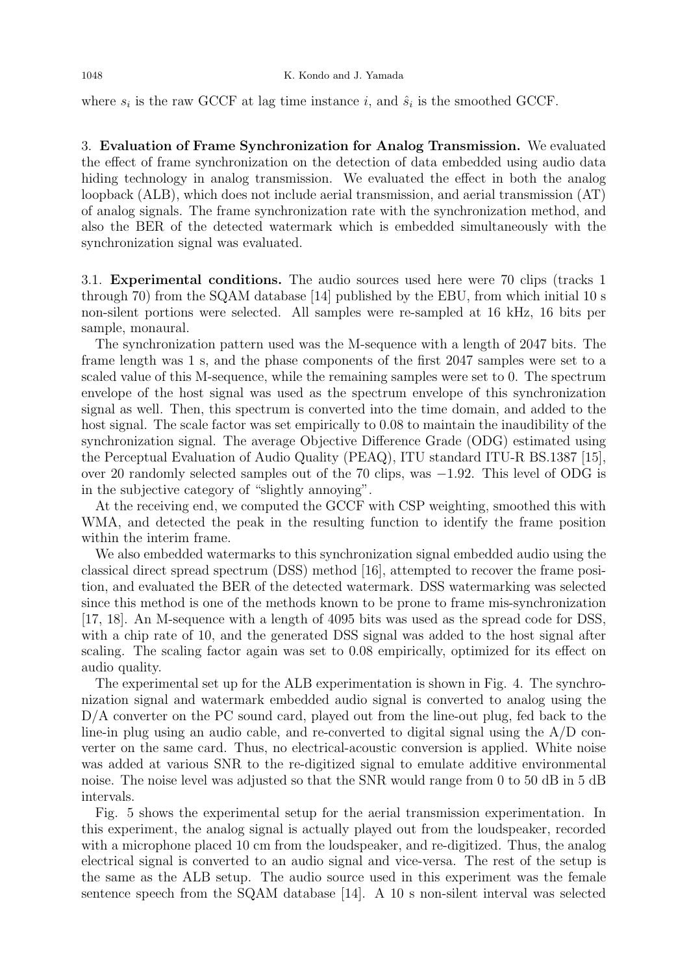where  $s_i$  is the raw GCCF at lag time instance i, and  $\hat{s}_i$  is the smoothed GCCF.

3. Evaluation of Frame Synchronization for Analog Transmission. We evaluated the effect of frame synchronization on the detection of data embedded using audio data hiding technology in analog transmission. We evaluated the effect in both the analog loopback (ALB), which does not include aerial transmission, and aerial transmission (AT) of analog signals. The frame synchronization rate with the synchronization method, and also the BER of the detected watermark which is embedded simultaneously with the synchronization signal was evaluated.

3.1. Experimental conditions. The audio sources used here were 70 clips (tracks 1 through 70) from the SQAM database [14] published by the EBU, from which initial 10 s non-silent portions were selected. All samples were re-sampled at 16 kHz, 16 bits per sample, monaural.

The synchronization pattern used was the M-sequence with a length of 2047 bits. The frame length was 1 s, and the phase components of the first 2047 samples were set to a scaled value of this M-sequence, while the remaining samples were set to 0. The spectrum envelope of the host signal was used as the spectrum envelope of this synchronization signal as well. Then, this spectrum is converted into the time domain, and added to the host signal. The scale factor was set empirically to 0.08 to maintain the inaudibility of the synchronization signal. The average Objective Difference Grade (ODG) estimated using the Perceptual Evaluation of Audio Quality (PEAQ), ITU standard ITU-R BS.1387 [15], over 20 randomly selected samples out of the 70 clips, was −1.92. This level of ODG is in the subjective category of "slightly annoying".

At the receiving end, we computed the GCCF with CSP weighting, smoothed this with WMA, and detected the peak in the resulting function to identify the frame position within the interim frame.

We also embedded watermarks to this synchronization signal embedded audio using the classical direct spread spectrum (DSS) method [16], attempted to recover the frame position, and evaluated the BER of the detected watermark. DSS watermarking was selected since this method is one of the methods known to be prone to frame mis-synchronization [17, 18]. An M-sequence with a length of 4095 bits was used as the spread code for DSS, with a chip rate of 10, and the generated DSS signal was added to the host signal after scaling. The scaling factor again was set to 0.08 empirically, optimized for its effect on audio quality.

The experimental set up for the ALB experimentation is shown in Fig. 4. The synchronization signal and watermark embedded audio signal is converted to analog using the D/A converter on the PC sound card, played out from the line-out plug, fed back to the line-in plug using an audio cable, and re-converted to digital signal using the A/D converter on the same card. Thus, no electrical-acoustic conversion is applied. White noise was added at various SNR to the re-digitized signal to emulate additive environmental noise. The noise level was adjusted so that the SNR would range from 0 to 50 dB in 5 dB intervals.

Fig. 5 shows the experimental setup for the aerial transmission experimentation. In this experiment, the analog signal is actually played out from the loudspeaker, recorded with a microphone placed 10 cm from the loudspeaker, and re-digitized. Thus, the analog electrical signal is converted to an audio signal and vice-versa. The rest of the setup is the same as the ALB setup. The audio source used in this experiment was the female sentence speech from the SQAM database [14]. A 10 s non-silent interval was selected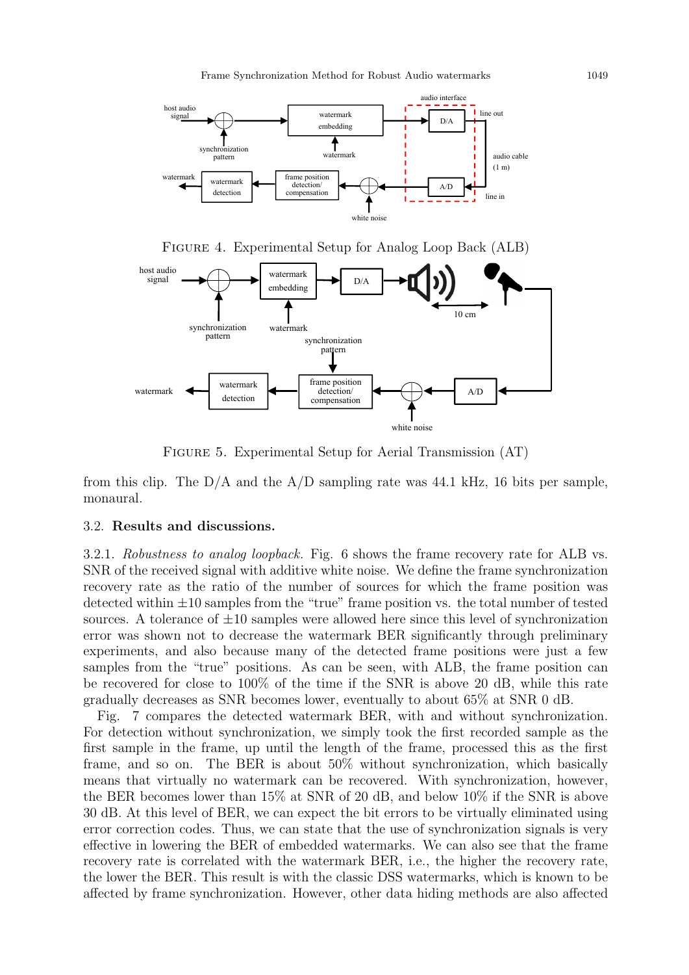



FIGURE 5. Experimental Setup for Aerial Transmission (AT)

from this clip. The  $D/A$  and the  $A/D$  sampling rate was 44.1 kHz, 16 bits per sample, monaural.

#### 3.2. Results and discussions.

3.2.1. Robustness to analog loopback. Fig. 6 shows the frame recovery rate for ALB vs. SNR of the received signal with additive white noise. We define the frame synchronization recovery rate as the ratio of the number of sources for which the frame position was detected within  $\pm 10$  samples from the "true" frame position vs. the total number of tested sources. A tolerance of  $\pm 10$  samples were allowed here since this level of synchronization error was shown not to decrease the watermark BER significantly through preliminary experiments, and also because many of the detected frame positions were just a few samples from the "true" positions. As can be seen, with ALB, the frame position can be recovered for close to 100% of the time if the SNR is above 20 dB, while this rate gradually decreases as SNR becomes lower, eventually to about 65% at SNR 0 dB.

Fig. 7 compares the detected watermark BER, with and without synchronization. For detection without synchronization, we simply took the first recorded sample as the first sample in the frame, up until the length of the frame, processed this as the first frame, and so on. The BER is about 50% without synchronization, which basically means that virtually no watermark can be recovered. With synchronization, however, the BER becomes lower than 15% at SNR of 20 dB, and below 10% if the SNR is above 30 dB. At this level of BER, we can expect the bit errors to be virtually eliminated using error correction codes. Thus, we can state that the use of synchronization signals is very effective in lowering the BER of embedded watermarks. We can also see that the frame recovery rate is correlated with the watermark BER, i.e., the higher the recovery rate, the lower the BER. This result is with the classic DSS watermarks, which is known to be affected by frame synchronization. However, other data hiding methods are also affected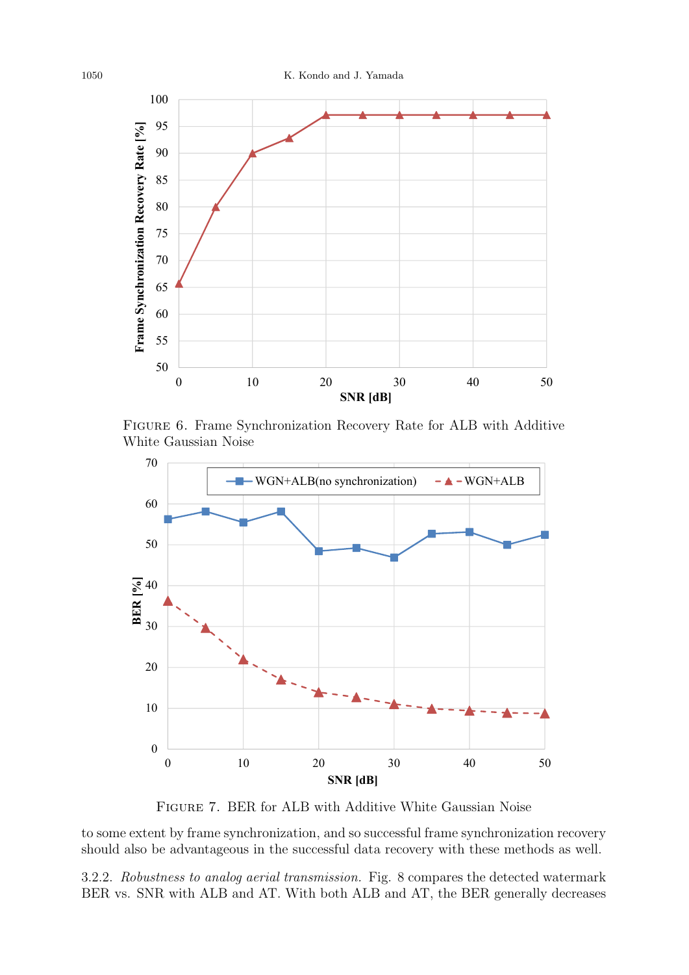

Figure 6. Frame Synchronization Recovery Rate for ALB with Additive White Gaussian Noise



Figure 7. BER for ALB with Additive White Gaussian Noise

to some extent by frame synchronization, and so successful frame synchronization recovery should also be advantageous in the successful data recovery with these methods as well.

3.2.2. Robustness to analog aerial transmission. Fig. 8 compares the detected watermark BER vs. SNR with ALB and AT. With both ALB and AT, the BER generally decreases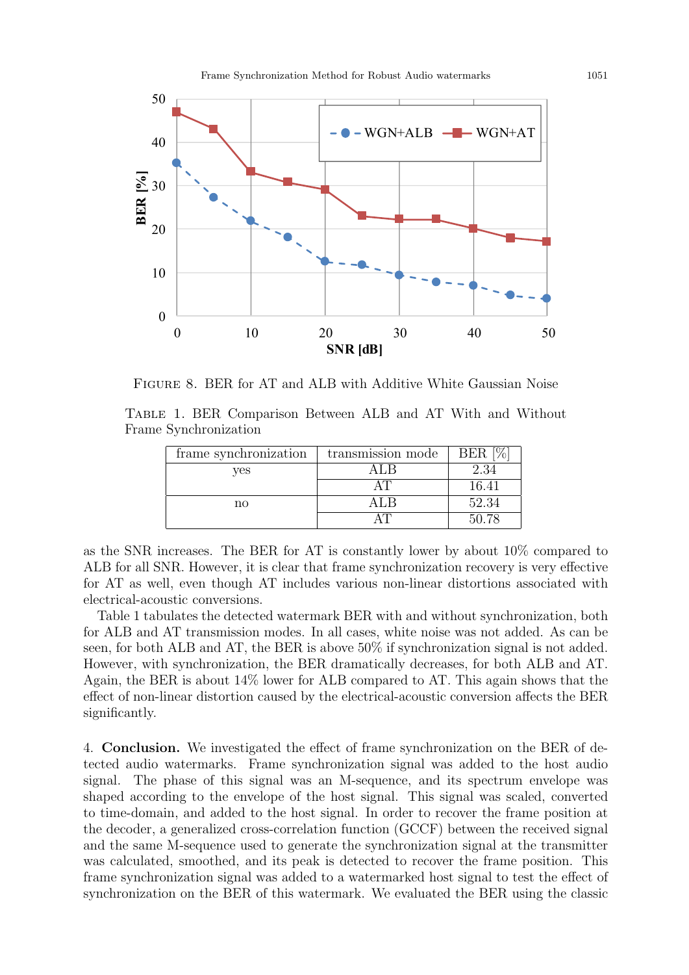

Figure 8. BER for AT and ALB with Additive White Gaussian Noise

Table 1. BER Comparison Between ALB and AT With and Without Frame Synchronization

| frame synchronization | transmission mode | BER   |
|-----------------------|-------------------|-------|
| ves                   |                   | 2.34  |
|                       |                   | 16.41 |
| no                    |                   | 52.34 |
|                       |                   | 50.78 |

as the SNR increases. The BER for AT is constantly lower by about 10% compared to ALB for all SNR. However, it is clear that frame synchronization recovery is very effective for AT as well, even though AT includes various non-linear distortions associated with electrical-acoustic conversions.

Table 1 tabulates the detected watermark BER with and without synchronization, both for ALB and AT transmission modes. In all cases, white noise was not added. As can be seen, for both ALB and AT, the BER is above 50% if synchronization signal is not added. However, with synchronization, the BER dramatically decreases, for both ALB and AT. Again, the BER is about 14% lower for ALB compared to AT. This again shows that the effect of non-linear distortion caused by the electrical-acoustic conversion affects the BER significantly.

4. Conclusion. We investigated the effect of frame synchronization on the BER of detected audio watermarks. Frame synchronization signal was added to the host audio signal. The phase of this signal was an M-sequence, and its spectrum envelope was shaped according to the envelope of the host signal. This signal was scaled, converted to time-domain, and added to the host signal. In order to recover the frame position at the decoder, a generalized cross-correlation function (GCCF) between the received signal and the same M-sequence used to generate the synchronization signal at the transmitter was calculated, smoothed, and its peak is detected to recover the frame position. This frame synchronization signal was added to a watermarked host signal to test the effect of synchronization on the BER of this watermark. We evaluated the BER using the classic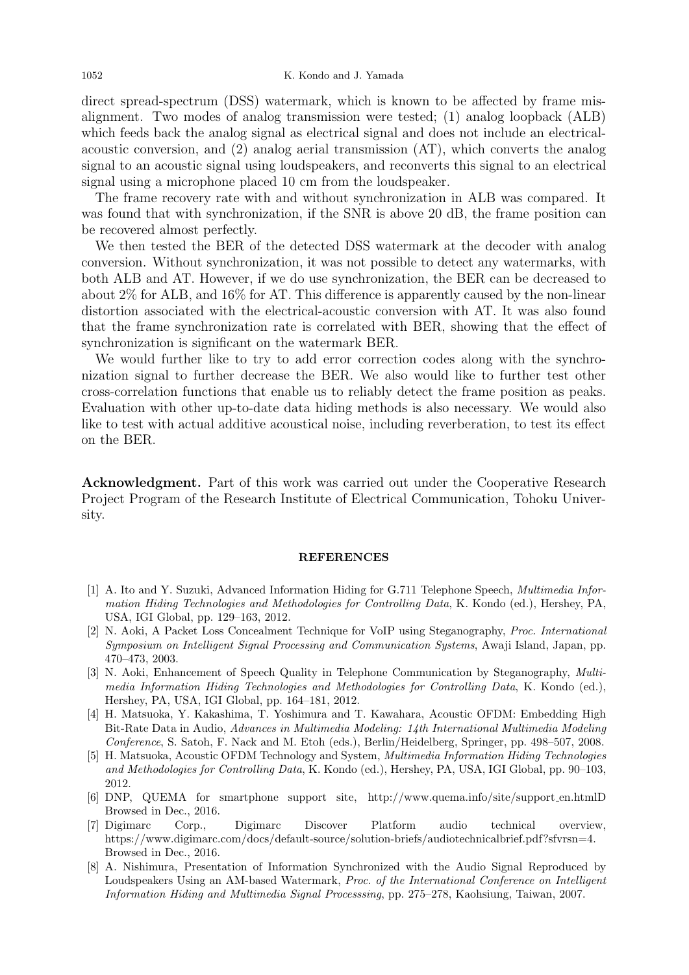direct spread-spectrum (DSS) watermark, which is known to be affected by frame misalignment. Two modes of analog transmission were tested; (1) analog loopback (ALB) which feeds back the analog signal as electrical signal and does not include an electricalacoustic conversion, and (2) analog aerial transmission (AT), which converts the analog signal to an acoustic signal using loudspeakers, and reconverts this signal to an electrical signal using a microphone placed 10 cm from the loudspeaker.

The frame recovery rate with and without synchronization in ALB was compared. It was found that with synchronization, if the SNR is above 20 dB, the frame position can be recovered almost perfectly.

We then tested the BER of the detected DSS watermark at the decoder with analog conversion. Without synchronization, it was not possible to detect any watermarks, with both ALB and AT. However, if we do use synchronization, the BER can be decreased to about 2% for ALB, and 16% for AT. This difference is apparently caused by the non-linear distortion associated with the electrical-acoustic conversion with AT. It was also found that the frame synchronization rate is correlated with BER, showing that the effect of synchronization is significant on the watermark BER.

We would further like to try to add error correction codes along with the synchronization signal to further decrease the BER. We also would like to further test other cross-correlation functions that enable us to reliably detect the frame position as peaks. Evaluation with other up-to-date data hiding methods is also necessary. We would also like to test with actual additive acoustical noise, including reverberation, to test its effect on the BER.

Acknowledgment. Part of this work was carried out under the Cooperative Research Project Program of the Research Institute of Electrical Communication, Tohoku University.

#### REFERENCES

- [1] A. Ito and Y. Suzuki, Advanced Information Hiding for G.711 Telephone Speech, Multimedia Information Hiding Technologies and Methodologies for Controlling Data, K. Kondo (ed.), Hershey, PA, USA, IGI Global, pp. 129–163, 2012.
- [2] N. Aoki, A Packet Loss Concealment Technique for VoIP using Steganography, Proc. International Symposium on Intelligent Signal Processing and Communication Systems, Awaji Island, Japan, pp. 470–473, 2003.
- [3] N. Aoki, Enhancement of Speech Quality in Telephone Communication by Steganography, Multimedia Information Hiding Technologies and Methodologies for Controlling Data, K. Kondo (ed.), Hershey, PA, USA, IGI Global, pp. 164–181, 2012.
- [4] H. Matsuoka, Y. Kakashima, T. Yoshimura and T. Kawahara, Acoustic OFDM: Embedding High Bit-Rate Data in Audio, Advances in Multimedia Modeling: 14th International Multimedia Modeling Conference, S. Satoh, F. Nack and M. Etoh (eds.), Berlin/Heidelberg, Springer, pp. 498–507, 2008.
- [5] H. Matsuoka, Acoustic OFDM Technology and System, Multimedia Information Hiding Technologies and Methodologies for Controlling Data, K. Kondo (ed.), Hershey, PA, USA, IGI Global, pp. 90–103, 2012.
- [6] DNP, QUEMA for smartphone support site, http://www.quema.info/site/support en.htmlD Browsed in Dec., 2016.
- [7] Digimarc Corp., Digimarc Discover Platform audio technical overview, https://www.digimarc.com/docs/default-source/solution-briefs/audiotechnicalbrief.pdf?sfvrsn=4. Browsed in Dec., 2016.
- [8] A. Nishimura, Presentation of Information Synchronized with the Audio Signal Reproduced by Loudspeakers Using an AM-based Watermark, Proc. of the International Conference on Intelligent Information Hiding and Multimedia Signal Processsing, pp. 275–278, Kaohsiung, Taiwan, 2007.